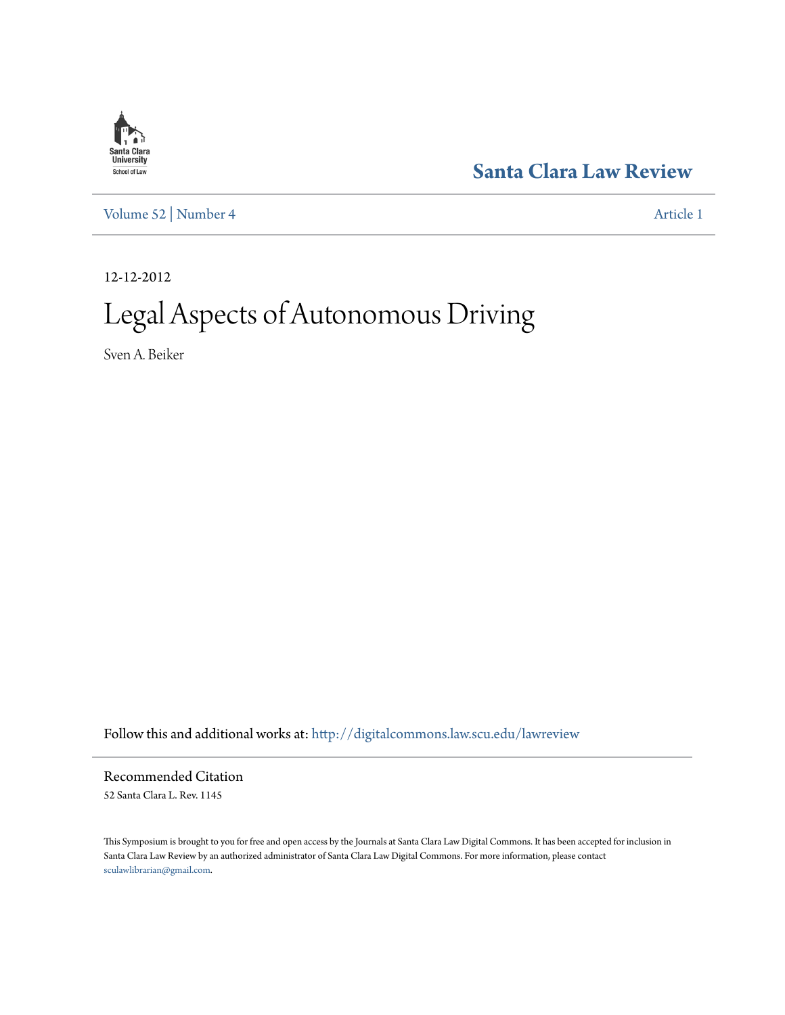

**[Santa Clara Law Review](http://digitalcommons.law.scu.edu/lawreview?utm_source=digitalcommons.law.scu.edu%2Flawreview%2Fvol52%2Fiss4%2F1&utm_medium=PDF&utm_campaign=PDFCoverPages)**

[Volume 52](http://digitalcommons.law.scu.edu/lawreview/vol52?utm_source=digitalcommons.law.scu.edu%2Flawreview%2Fvol52%2Fiss4%2F1&utm_medium=PDF&utm_campaign=PDFCoverPages) | [Number 4](http://digitalcommons.law.scu.edu/lawreview/vol52/iss4?utm_source=digitalcommons.law.scu.edu%2Flawreview%2Fvol52%2Fiss4%2F1&utm_medium=PDF&utm_campaign=PDFCoverPages) [Article 1](http://digitalcommons.law.scu.edu/lawreview/vol52/iss4/1?utm_source=digitalcommons.law.scu.edu%2Flawreview%2Fvol52%2Fiss4%2F1&utm_medium=PDF&utm_campaign=PDFCoverPages)

12-12-2012

# Legal Aspects of Autonomous Driving

Sven A. Beiker

Follow this and additional works at: [http://digitalcommons.law.scu.edu/lawreview](http://digitalcommons.law.scu.edu/lawreview?utm_source=digitalcommons.law.scu.edu%2Flawreview%2Fvol52%2Fiss4%2F1&utm_medium=PDF&utm_campaign=PDFCoverPages)

Recommended Citation 52 Santa Clara L. Rev. 1145

This Symposium is brought to you for free and open access by the Journals at Santa Clara Law Digital Commons. It has been accepted for inclusion in Santa Clara Law Review by an authorized administrator of Santa Clara Law Digital Commons. For more information, please contact [sculawlibrarian@gmail.com](mailto:sculawlibrarian@gmail.com).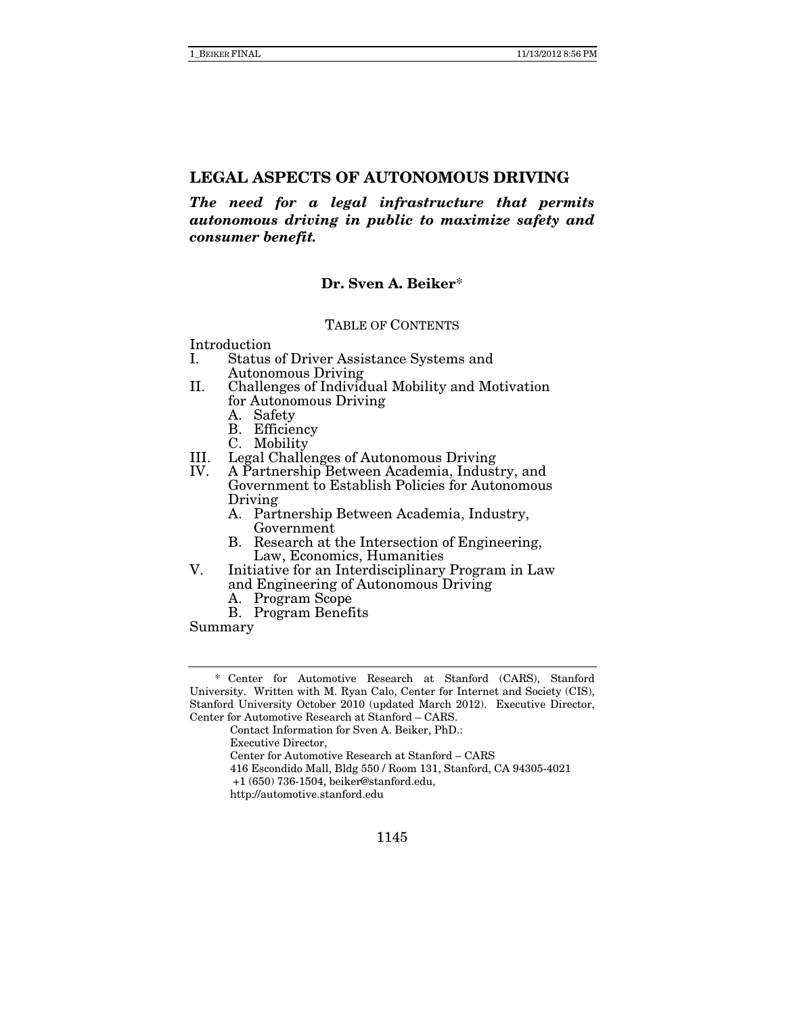*The need for a legal infrastructure that permits autonomous driving in public to maximize safety and consumer benefit.* 

# **Dr. Sven A. Beiker**\*

#### TABLE OF CONTENTS

Introduction

- I. Status of Driver Assistance Systems and Autonomous Driving
- II. Challenges of Individual Mobility and Motivation for Autonomous Driving
	- A. Safety
	- B. Efficiency
	- C. Mobility
- III. Legal Challenges of Autonomous Driving<br>IV. A Partnership Between Academia, Indust
- A Partnership Between Academia, Industry, and Government to Establish Policies for Autonomous Driving
	- A. Partnership Between Academia, Industry, Government
	- B. Research at the Intersection of Engineering, Law, Economics, Humanities
- V. Initiative for an Interdisciplinary Program in Law and Engineering of Autonomous Driving
	- A. Program Scope
	- B. Program Benefits

Summary

Executive Director,

- 416 Escondido Mall, Bldg 550 / Room 131, Stanford, CA 94305-4021
- +1 (650) 736-1504, beiker@stanford.edu,

 <sup>\*</sup> Center for Automotive Research at Stanford (CARS), Stanford University. Written with M. Ryan Calo, Center for Internet and Society (CIS), Stanford University October 2010 (updated March 2012). Executive Director, Center for Automotive Research at Stanford – CARS.

Contact Information for Sven A. Beiker, PhD.:

Center for Automotive Research at Stanford – CARS

http://automotive.stanford.edu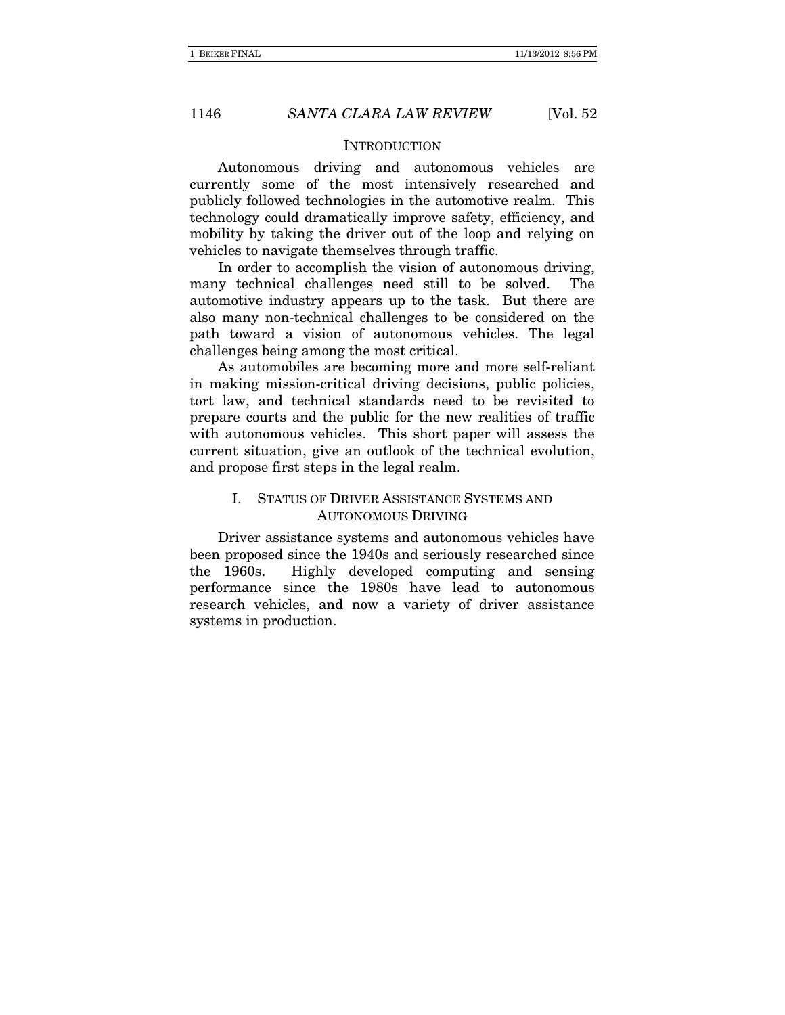#### **INTRODUCTION**

Autonomous driving and autonomous vehicles are currently some of the most intensively researched and publicly followed technologies in the automotive realm. This technology could dramatically improve safety, efficiency, and mobility by taking the driver out of the loop and relying on vehicles to navigate themselves through traffic.

In order to accomplish the vision of autonomous driving, many technical challenges need still to be solved. The automotive industry appears up to the task. But there are also many non-technical challenges to be considered on the path toward a vision of autonomous vehicles. The legal challenges being among the most critical.

As automobiles are becoming more and more self-reliant in making mission-critical driving decisions, public policies, tort law, and technical standards need to be revisited to prepare courts and the public for the new realities of traffic with autonomous vehicles. This short paper will assess the current situation, give an outlook of the technical evolution, and propose first steps in the legal realm.

# I. STATUS OF DRIVER ASSISTANCE SYSTEMS AND AUTONOMOUS DRIVING

Driver assistance systems and autonomous vehicles have been proposed since the 1940s and seriously researched since the 1960s. Highly developed computing and sensing performance since the 1980s have lead to autonomous research vehicles, and now a variety of driver assistance systems in production.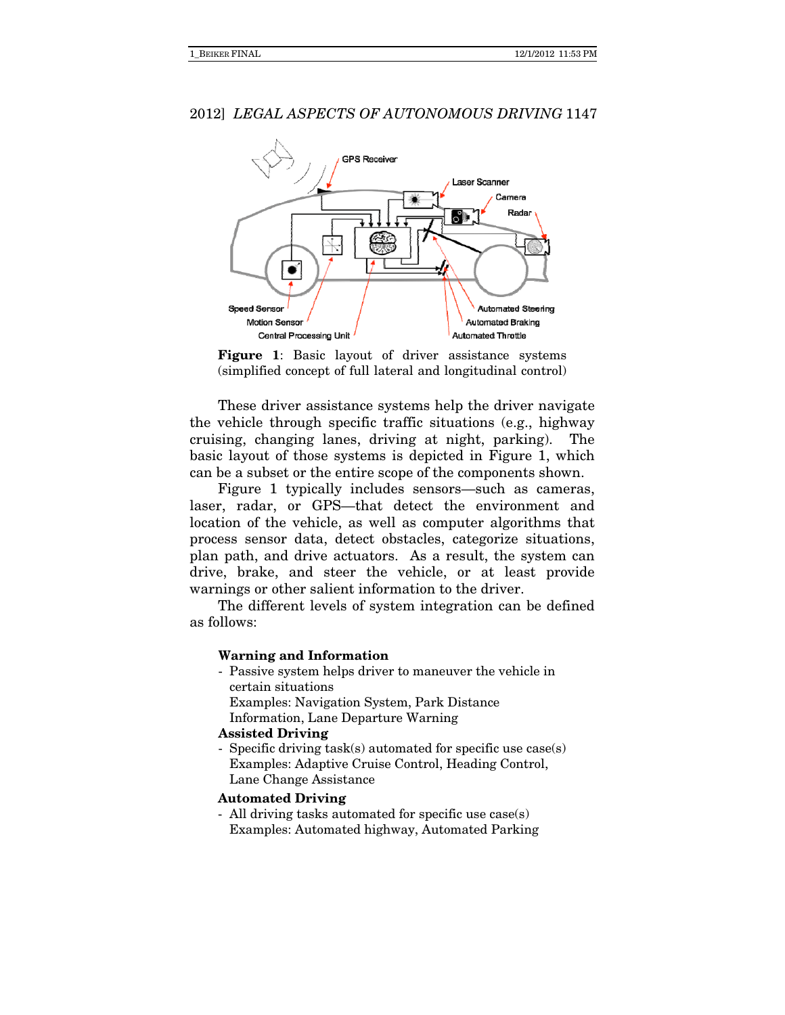

Figure 1: Basic layout of driver assistance systems (simplified concept of full lateral and longitudinal control)

These driver assistance systems help the driver navigate the vehicle through specific traffic situations (e.g., highway cruising, changing lanes, driving at night, parking). The basic layout of those systems is depicted in Figure 1, which can be a subset or the entire scope of the components shown.

Figure 1 typically includes sensors—such as cameras, laser, radar, or GPS—that detect the environment and location of the vehicle, as well as computer algorithms that process sensor data, detect obstacles, categorize situations, plan path, and drive actuators. As a result, the system can drive, brake, and steer the vehicle, or at least provide warnings or other salient information to the driver.

The different levels of system integration can be defined as follows:

#### Warning and Information

- Passive system helps driver to maneuver the vehicle in certain situations Examples: Navigation System, Park Distance
	- Information, Lane Departure Warning

#### Assisted Driving

Specific driving  $task(s)$  automated for specific use  $case(s)$  Examples: Adaptive Cruise Control, Heading Control, Lane Change Assistance

#### Automated Driving

- All driving tasks automated for specific use case(s) Examples: Automated highway, Automated Parking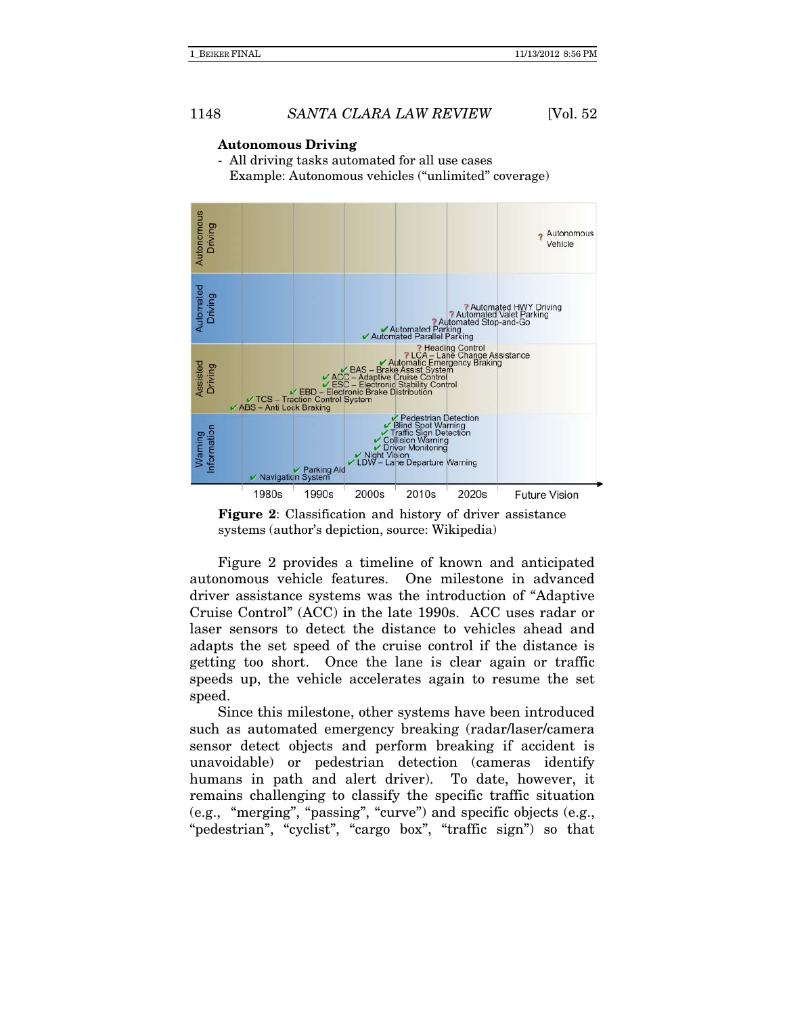#### **Autonomous Driving**

- All driving tasks automated for all use cases Example: Autonomous vehicles ("unlimited" coverage)



**Figure 2**: Classification and history of driver assistance systems (author's depiction, source: Wikipedia)

Figure 2 provides a timeline of known and anticipated autonomous vehicle features. One milestone in advanced driver assistance systems was the introduction of "Adaptive Cruise Control" (ACC) in the late 1990s. ACC uses radar or laser sensors to detect the distance to vehicles ahead and adapts the set speed of the cruise control if the distance is getting too short. Once the lane is clear again or traffic speeds up, the vehicle accelerates again to resume the set speed.

Since this milestone, other systems have been introduced such as automated emergency breaking (radar/laser/camera sensor detect objects and perform breaking if accident is unavoidable) or pedestrian detection (cameras identify humans in path and alert driver). To date, however, it remains challenging to classify the specific traffic situation (e.g., "merging", "passing", "curve") and specific objects (e.g., "pedestrian", "cyclist", "cargo box", "traffic sign") so that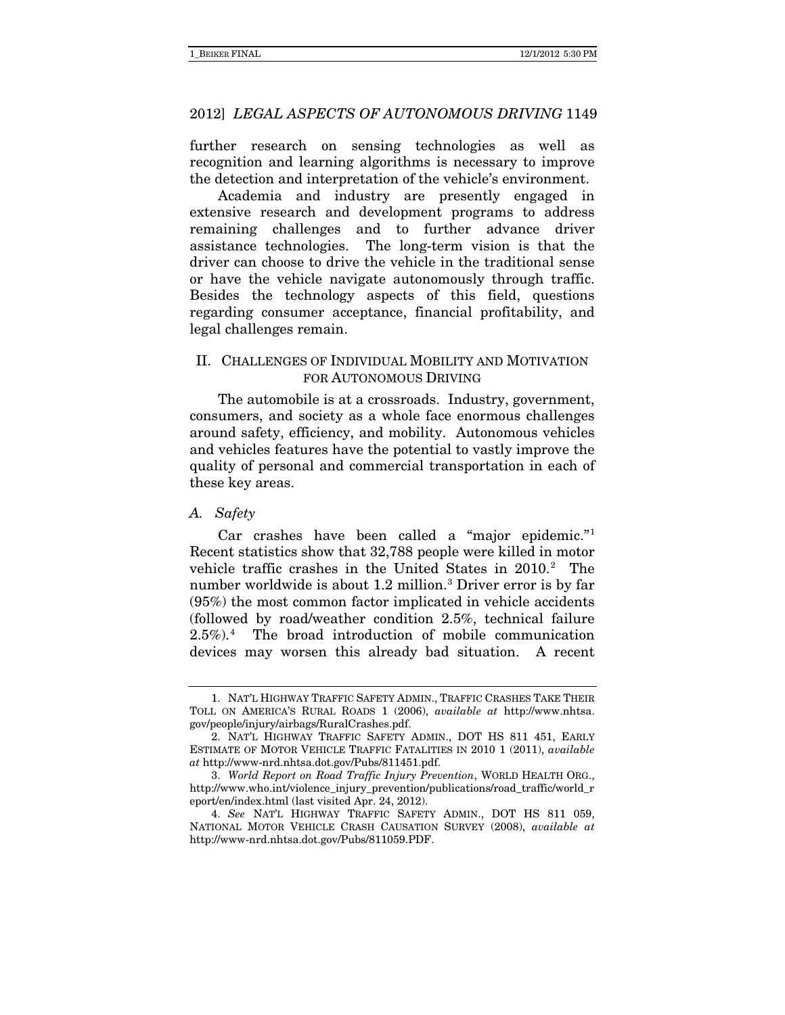further research on sensing technologies as well as recognition and learning algorithms is necessary to improve the detection and interpretation of the vehicle's environment.

Academia and industry are presently engaged in extensive research and development programs to address remaining challenges and to further advance driver assistance technologies. The long-term vision is that the driver can choose to drive the vehicle in the traditional sense or have the vehicle navigate autonomously through traffic. Besides the technology aspects of this field, questions regarding consumer acceptance, financial profitability, and legal challenges remain.

# II. CHALLENGES OF INDIVIDUAL MOBILITY AND MOTIVATION FOR AUTONOMOUS DRIVING

The automobile is at a crossroads. Industry, government, consumers, and society as a whole face enormous challenges around safety, efficiency, and mobility. Autonomous vehicles and vehicles features have the potential to vastly improve the quality of personal and commercial transportation in each of these key areas.

#### *A. Safety*

Car crashes have been called a "major epidemic."[1](#page-5-0) Recent statistics show that 32,788 people were killed in motor vehicle traffic crashes in the United States in [2](#page-5-1)010.<sup>2</sup> The number worldwide is about 1.2 million.[3](#page-5-2) Driver error is by far (95%) the most common factor implicated in vehicle accidents (followed by road/weather condition 2.5%, technical failure 2.5%).[4](#page-5-3) The broad introduction of mobile communication devices may worsen this already bad situation. A recent

<span id="page-5-0"></span><sup>1.</sup> NAT'L HIGHWAY TRAFFIC SAFETY ADMIN., TRAFFIC CRASHES TAKE THEIR TOLL ON AMERICA'S RURAL ROADS 1 (2006), *available at* http://www.nhtsa. gov/people/injury/airbags/RuralCrashes.pdf.

<span id="page-5-1"></span><sup>2.</sup> NAT'L HIGHWAY TRAFFIC SAFETY ADMIN., DOT HS 811 451, EARLY ESTIMATE OF MOTOR VEHICLE TRAFFIC FATALITIES IN 2010 1 (2011), *available at* http://www-nrd.nhtsa.dot.gov/Pubs/811451.pdf.

<span id="page-5-2"></span><sup>3.</sup> *World Report on Road Traffic Injury Prevention*, WORLD HEALTH ORG., [http://www.who.int/violence\\_injury\\_prevention/publications/road\\_traffic/world\\_r](http://www.who.int/violence_injury_prevention/publications/road_traffic/world_report/en/index.html) [eport/en/index.html](http://www.who.int/violence_injury_prevention/publications/road_traffic/world_report/en/index.html) (last visited Apr. 24, 2012).

<span id="page-5-3"></span><sup>4.</sup> *See* NAT'L HIGHWAY TRAFFIC SAFETY ADMIN., DOT HS 811 059, NATIONAL MOTOR VEHICLE CRASH CAUSATION SURVEY (2008), *available at* http://www-nrd.nhtsa.dot.gov/Pubs/811059.PDF.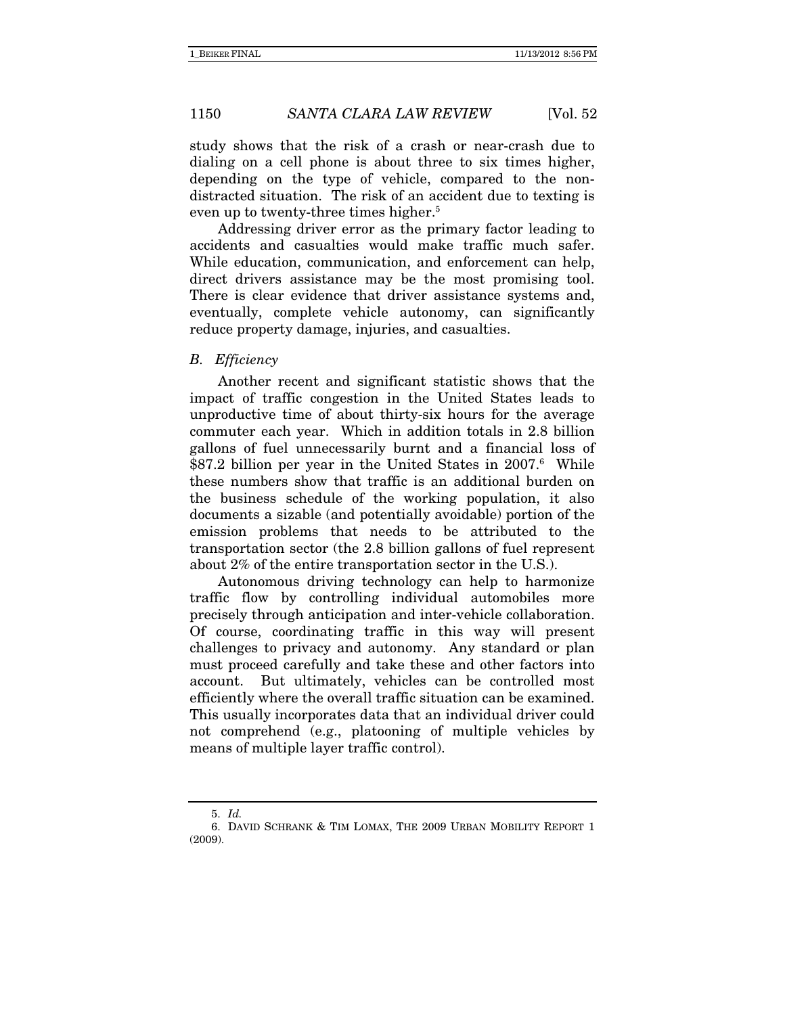study shows that the risk of a crash or near-crash due to dialing on a cell phone is about three to six times higher, depending on the type of vehicle, compared to the nondistracted situation. The risk of an accident due to texting is even up to twenty-three times higher.<sup>5</sup>

Addressing driver error as the primary factor leading to accidents and casualties would make traffic much safer. While education, communication, and enforcement can help, direct drivers assistance may be the most promising tool. There is clear evidence that driver assistance systems and, eventually, complete vehicle autonomy, can significantly reduce property damage, injuries, and casualties.

#### B. Efficiency

Another recent and significant statistic shows that the impact of traffic congestion in the United States leads to unproductive time of about thirty-six hours for the average commuter each year. Which in addition totals in 2.8 billion gallons of fuel unnecessarily burnt and a financial loss of \$87.2 billion per year in the United States in 2007.<sup>6</sup> While these numbers show that traffic is an additional burden on the business schedule of the working population, it also documents a sizable (and potentially avoidable) portion of the emission problems that needs to be attributed to the transportation sector (the 2.8 billion gallons of fuel represent about 2% of the entire transportation sector in the U.S.).

Autonomous driving technology can help to harmonize traffic flow by controlling individual automobiles more precisely through anticipation and inter-vehicle collaboration. Of course, coordinating traffic in this way will present challenges to privacy and autonomy. Any standard or plan must proceed carefully and take these and other factors into account. But ultimately, vehicles can be controlled most efficiently where the overall traffic situation can be examined. This usually incorporates data that an individual driver could not comprehend (e.g., platooning of multiple vehicles by means of multiple layer traffic control).

 <sup>5.</sup> Id.

 <sup>6.</sup> DAVID SCHRANK & TIM LOMAX, THE 2009 URBAN MOBILITY REPORT 1 (2009).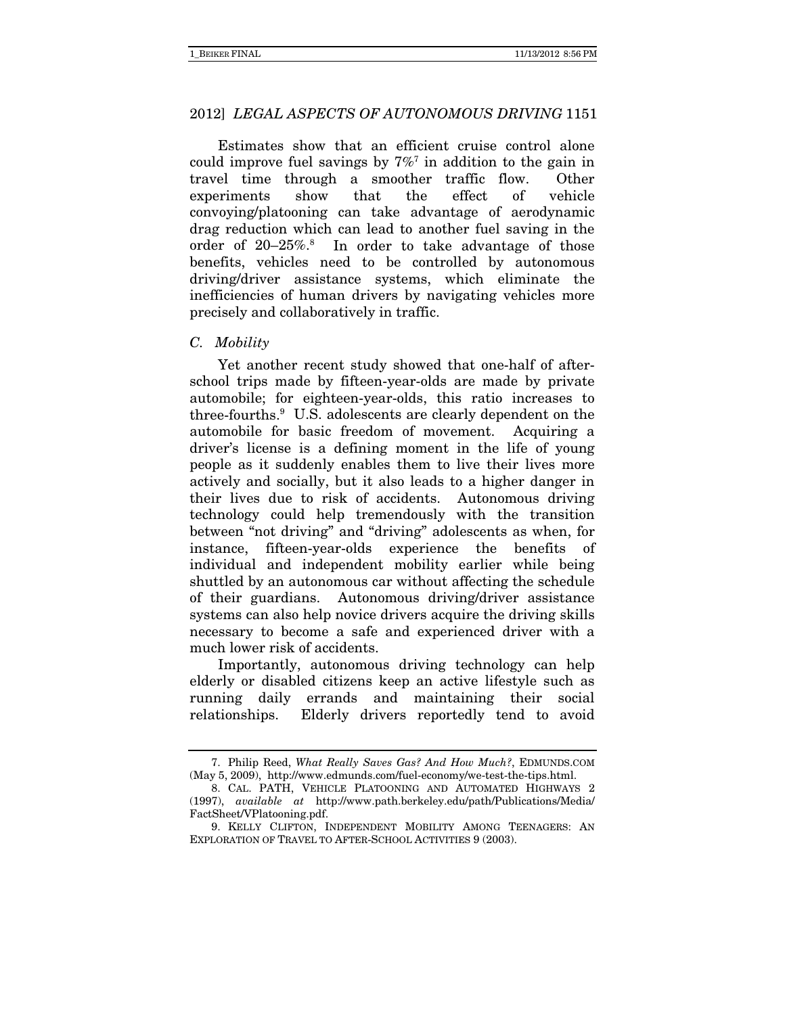Estimates show that an efficient cruise control alone could improve fuel savings by  $7\%$ <sup>7</sup> in addition to the gain in travel time through a smoother traffic flow. Other experiments show that the effect of vehicle convoying/platooning can take advantage of aerodynamic drag reduction which can lead to another fuel saving in the order of 20-25%.<sup>8</sup> In order to take advantage of those benefits, vehicles need to be controlled by autonomous driving/driver assistance systems, which eliminate the inefficiencies of human drivers by navigating vehicles more precisely and collaboratively in traffic.

#### C. Mobility

Yet another recent study showed that one-half of afterschool trips made by fifteen-year-olds are made by private automobile; for eighteen-year-olds, this ratio increases to three-fourths.9 U.S. adolescents are clearly dependent on the automobile for basic freedom of movement. Acquiring a driver's license is a defining moment in the life of young people as it suddenly enables them to live their lives more actively and socially, but it also leads to a higher danger in their lives due to risk of accidents. Autonomous driving technology could help tremendously with the transition between "not driving" and "driving" adolescents as when, for instance, fifteen-year-olds experience the benefits of individual and independent mobility earlier while being shuttled by an autonomous car without affecting the schedule of their guardians. Autonomous driving/driver assistance systems can also help novice drivers acquire the driving skills necessary to become a safe and experienced driver with a much lower risk of accidents.

Importantly, autonomous driving technology can help elderly or disabled citizens keep an active lifestyle such as running daily errands and maintaining their social relationships. Elderly drivers reportedly tend to avoid

 <sup>7.</sup> Philip Reed, What Really Saves Gas? And How Much?, EDMUNDS.COM (May 5, 2009), http://www.edmunds.com/fuel-economy/we-test-the-tips.html.

 <sup>8.</sup> CAL. PATH, VEHICLE PLATOONING AND AUTOMATED HIGHWAYS 2 (1997), available at http://www.path.berkeley.edu/path/Publications/Media/ FactSheet/VPlatooning.pdf.

 <sup>9.</sup> KELLY CLIFTON, INDEPENDENT MOBILITY AMONG TEENAGERS: AN EXPLORATION OF TRAVEL TO AFTER-SCHOOL ACTIVITIES 9 (2003).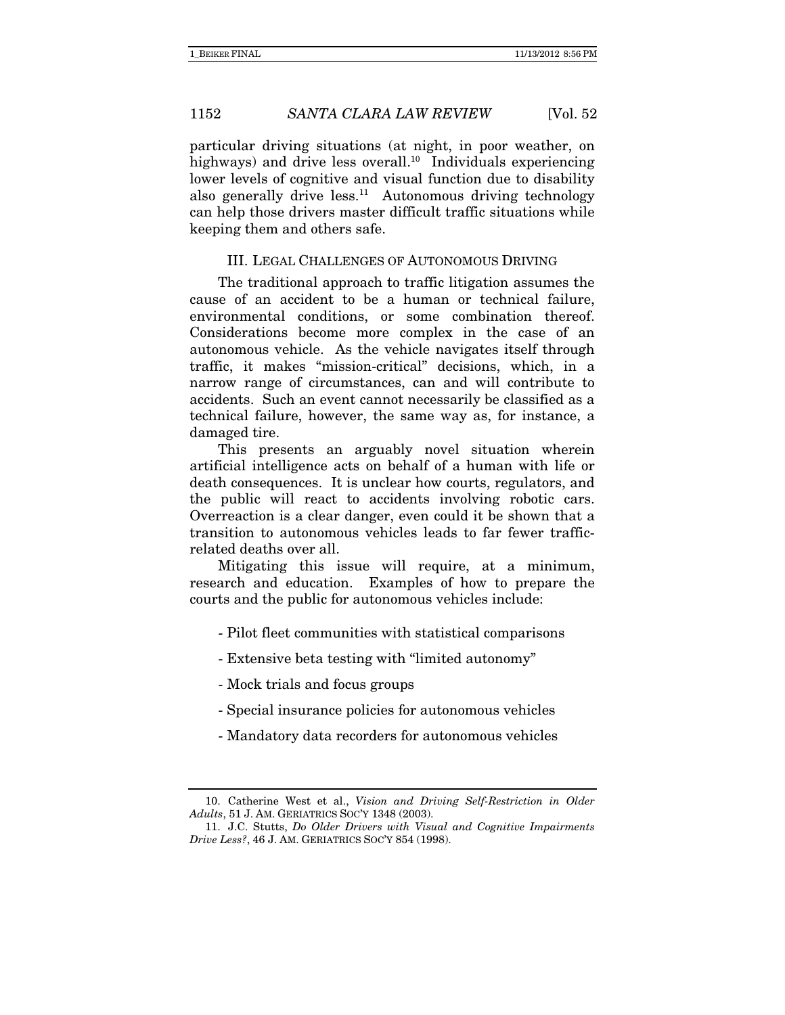particular driving situations (at night, in poor weather, on highways) and drive less overall.<sup>10</sup> Individuals experiencing lower levels of cognitive and visual function due to disability also generally drive less. $11$  Autonomous driving technology can help those drivers master difficult traffic situations while keeping them and others safe.

#### III. LEGAL CHALLENGES OF AUTONOMOUS DRIVING

The traditional approach to traffic litigation assumes the cause of an accident to be a human or technical failure, environmental conditions, or some combination thereof. Considerations become more complex in the case of an autonomous vehicle. As the vehicle navigates itself through traffic, it makes "mission-critical" decisions, which, in a narrow range of circumstances, can and will contribute to accidents. Such an event cannot necessarily be classified as a technical failure, however, the same way as, for instance, a damaged tire.

This presents an arguably novel situation wherein artificial intelligence acts on behalf of a human with life or death consequences. It is unclear how courts, regulators, and the public will react to accidents involving robotic cars. Overreaction is a clear danger, even could it be shown that a transition to autonomous vehicles leads to far fewer trafficrelated deaths over all.

Mitigating this issue will require, at a minimum, research and education. Examples of how to prepare the courts and the public for autonomous vehicles include:

- Pilot fleet communities with statistical comparisons
- Extensive beta testing with "limited autonomy"
- Mock trials and focus groups
- Special insurance policies for autonomous vehicles
- Mandatory data recorders for autonomous vehicles

 <sup>10.</sup> Catherine West et al., Vision and Driving Self-Restriction in Older Adults, 51 J. AM. GERIATRICS SOC'Y 1348 (2003).

 <sup>11.</sup> J.C. Stutts, Do Older Drivers with Visual and Cognitive Impairments Drive Less?, 46 J. AM. GERIATRICS SOC'Y 854 (1998).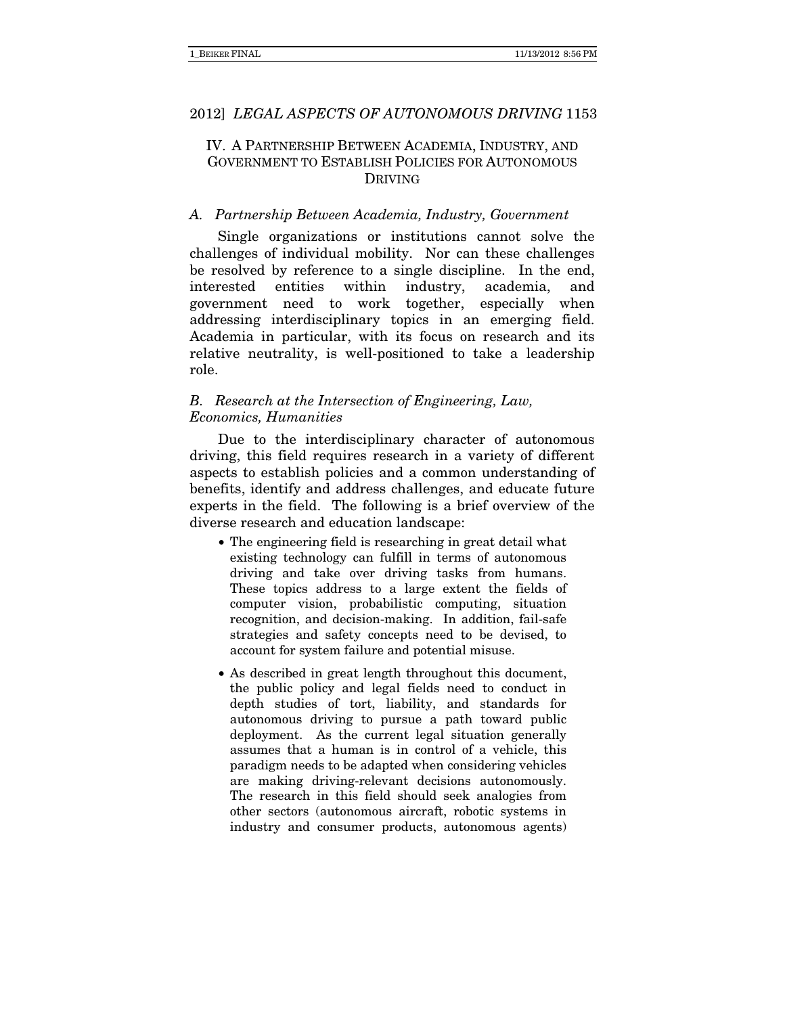# IV. A PARTNERSHIP BETWEEN ACADEMIA, INDUSTRY, AND GOVERNMENT TO ESTABLISH POLICIES FOR AUTONOMOUS DRIVING

#### A. Partnership Between Academia, Industry, Government

Single organizations or institutions cannot solve the challenges of individual mobility. Nor can these challenges be resolved by reference to a single discipline. In the end, interested entities within industry, academia, and government need to work together, especially when addressing interdisciplinary topics in an emerging field. Academia in particular, with its focus on research and its relative neutrality, is well-positioned to take a leadership role.

# B. Research at the Intersection of Engineering, Law, Economics, Humanities

Due to the interdisciplinary character of autonomous driving, this field requires research in a variety of different aspects to establish policies and a common understanding of benefits, identify and address challenges, and educate future experts in the field. The following is a brief overview of the diverse research and education landscape:

- The engineering field is researching in great detail what existing technology can fulfill in terms of autonomous driving and take over driving tasks from humans. These topics address to a large extent the fields of computer vision, probabilistic computing, situation recognition, and decision-making. In addition, fail-safe strategies and safety concepts need to be devised, to account for system failure and potential misuse.
- As described in great length throughout this document, the public policy and legal fields need to conduct in depth studies of tort, liability, and standards for autonomous driving to pursue a path toward public deployment. As the current legal situation generally assumes that a human is in control of a vehicle, this paradigm needs to be adapted when considering vehicles are making driving-relevant decisions autonomously. The research in this field should seek analogies from other sectors (autonomous aircraft, robotic systems in industry and consumer products, autonomous agents)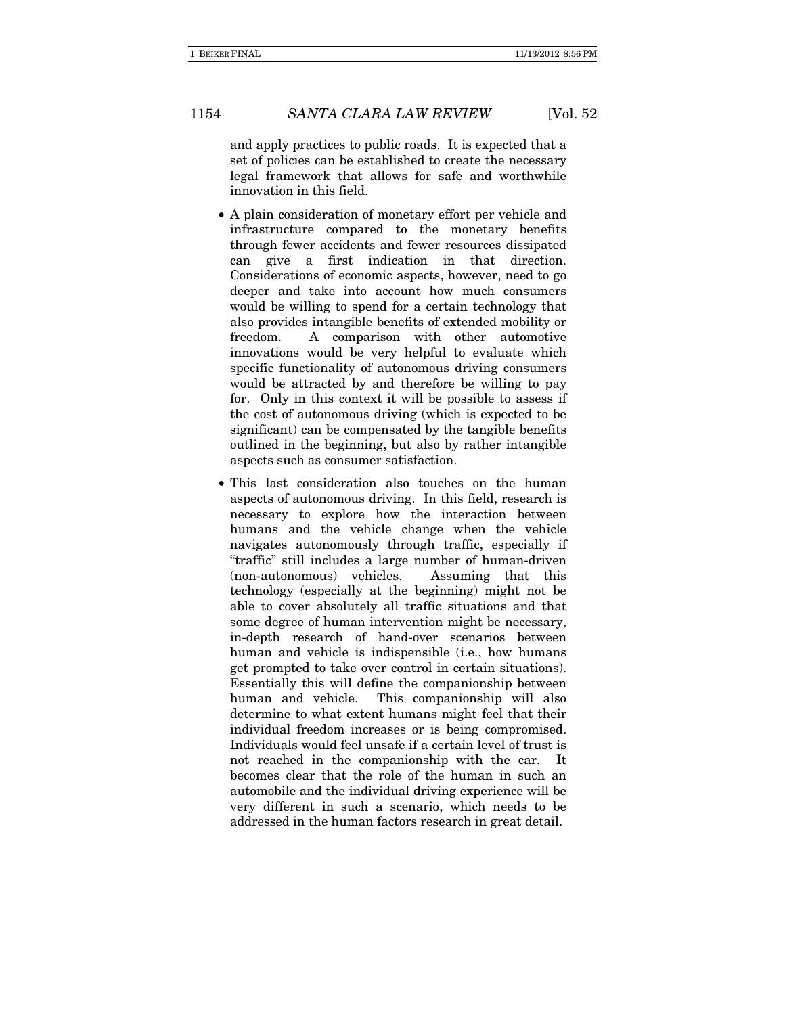and apply practices to public roads. It is expected that a set of policies can be established to create the necessary legal framework that allows for safe and worthwhile innovation in this field.

- A plain consideration of monetary effort per vehicle and infrastructure compared to the monetary benefits through fewer accidents and fewer resources dissipated can give a first indication in that direction. Considerations of economic aspects, however, need to go deeper and take into account how much consumers would be willing to spend for a certain technology that also provides intangible benefits of extended mobility or freedom. A comparison with other automotive innovations would be very helpful to evaluate which specific functionality of autonomous driving consumers would be attracted by and therefore be willing to pay for. Only in this context it will be possible to assess if the cost of autonomous driving (which is expected to be significant) can be compensated by the tangible benefits outlined in the beginning, but also by rather intangible aspects such as consumer satisfaction.
- This last consideration also touches on the human aspects of autonomous driving. In this field, research is necessary to explore how the interaction between humans and the vehicle change when the vehicle navigates autonomously through traffic, especially if "traffic" still includes a large number of human-driven (non-autonomous) vehicles. Assuming that this technology (especially at the beginning) might not be able to cover absolutely all traffic situations and that some degree of human intervention might be necessary, in-depth research of hand-over scenarios between human and vehicle is indispensible (i.e., how humans get prompted to take over control in certain situations). Essentially this will define the companionship between human and vehicle. This companionship will also determine to what extent humans might feel that their individual freedom increases or is being compromised. Individuals would feel unsafe if a certain level of trust is not reached in the companionship with the car. It becomes clear that the role of the human in such an automobile and the individual driving experience will be very different in such a scenario, which needs to be addressed in the human factors research in great detail.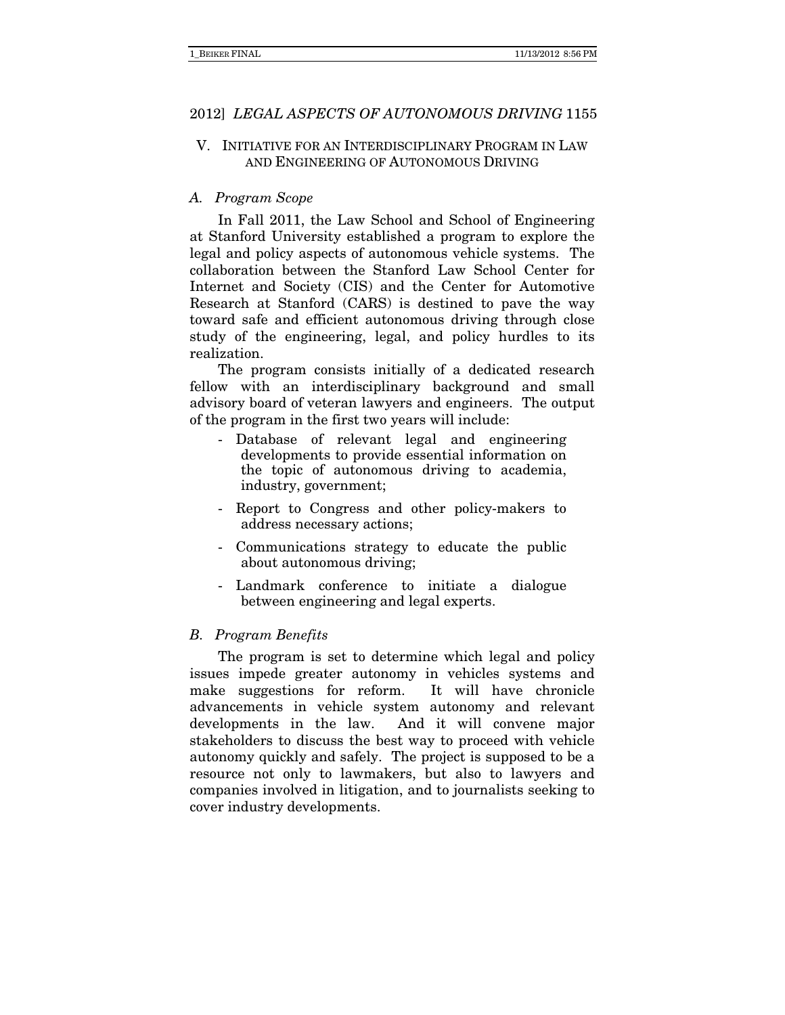# V. INITIATIVE FOR AN INTERDISCIPLINARY PROGRAM IN LAW AND ENGINEERING OF AUTONOMOUS DRIVING

# A. Program Scope

In Fall 2011, the Law School and School of Engineering at Stanford University established a program to explore the legal and policy aspects of autonomous vehicle systems. The collaboration between the Stanford Law School Center for Internet and Society (CIS) and the Center for Automotive Research at Stanford (CARS) is destined to pave the way toward safe and efficient autonomous driving through close study of the engineering, legal, and policy hurdles to its realization.

The program consists initially of a dedicated research fellow with an interdisciplinary background and small advisory board of veteran lawyers and engineers. The output of the program in the first two years will include:

- Database of relevant legal and engineering developments to provide essential information on the topic of autonomous driving to academia, industry, government;
- Report to Congress and other policy-makers to address necessary actions;
- Communications strategy to educate the public about autonomous driving;
- Landmark conference to initiate a dialogue between engineering and legal experts.

#### B. Program Benefits

The program is set to determine which legal and policy issues impede greater autonomy in vehicles systems and make suggestions for reform. It will have chronicle advancements in vehicle system autonomy and relevant developments in the law. And it will convene major stakeholders to discuss the best way to proceed with vehicle autonomy quickly and safely. The project is supposed to be a resource not only to lawmakers, but also to lawyers and companies involved in litigation, and to journalists seeking to cover industry developments.